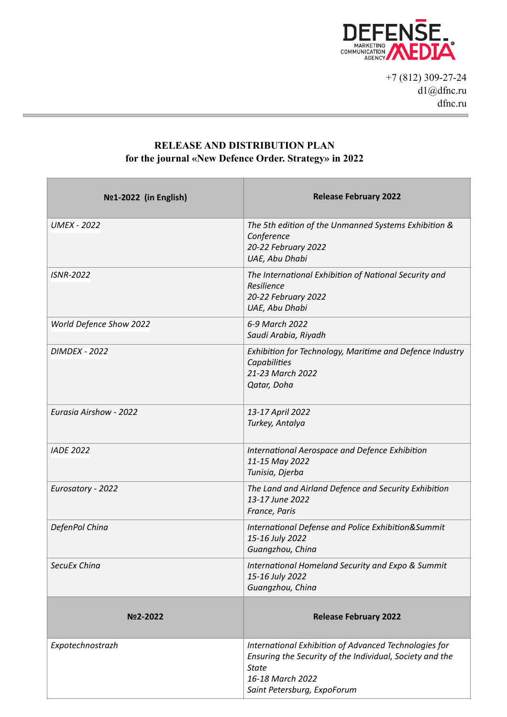

+7 (812) 309-27-24 d1@dfnc.ru dfnc.ru

## **RELEASE AND DISTRIBUTION PLAN for the journal «New Defence Order. Strategy» in 2022**

| Nº1-2022 (in English)   | <b>Release February 2022</b>                                                                                                                                                         |
|-------------------------|--------------------------------------------------------------------------------------------------------------------------------------------------------------------------------------|
| <b>UMEX - 2022</b>      | The 5th edition of the Unmanned Systems Exhibition &<br>Conference<br>20-22 February 2022<br>UAE, Abu Dhabi                                                                          |
| <b>ISNR-2022</b>        | The International Exhibition of National Security and<br>Resilience<br>20-22 February 2022<br>UAE, Abu Dhabi                                                                         |
| World Defence Show 2022 | 6-9 March 2022<br>Saudi Arabia, Riyadh                                                                                                                                               |
| <b>DIMDEX - 2022</b>    | Exhibition for Technology, Maritime and Defence Industry<br>Capabilities<br>21-23 March 2022<br>Qatar, Doha                                                                          |
| Eurasia Airshow - 2022  | 13-17 April 2022<br>Turkey, Antalya                                                                                                                                                  |
| <b>IADE 2022</b>        | International Aerospace and Defence Exhibition<br>11-15 May 2022<br>Tunisia, Djerba                                                                                                  |
| Eurosatory - 2022       | The Land and Airland Defence and Security Exhibition<br>13-17 June 2022<br>France, Paris                                                                                             |
| DefenPol China          | International Defense and Police Exhibition&Summit<br>15-16 July 2022<br>Guangzhou, China                                                                                            |
| SecuEx China            | International Homeland Security and Expo & Summit<br>15-16 July 2022<br>Guangzhou, China                                                                                             |
| No2-2022                | <b>Release February 2022</b>                                                                                                                                                         |
| Expotechnostrazh        | International Exhibition of Advanced Technologies for<br>Ensuring the Security of the Individual, Society and the<br><b>State</b><br>16-18 March 2022<br>Saint Petersburg, ExpoForum |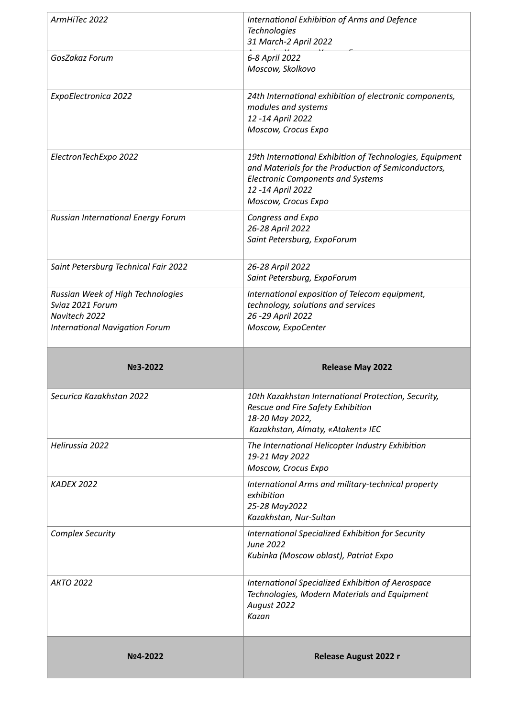| ArmHiTec 2022                                                                                                   | International Exhibition of Arms and Defence<br><b>Technologies</b><br>31 March-2 April 2022                                                                                                            |
|-----------------------------------------------------------------------------------------------------------------|---------------------------------------------------------------------------------------------------------------------------------------------------------------------------------------------------------|
| GosZakaz Forum                                                                                                  | 6-8 April 2022<br>Moscow, Skolkovo                                                                                                                                                                      |
| ExpoElectronica 2022                                                                                            | 24th International exhibition of electronic components,<br>modules and systems<br>12 -14 April 2022<br>Moscow, Crocus Expo                                                                              |
| ElectronTechExpo 2022                                                                                           | 19th International Exhibition of Technologies, Equipment<br>and Materials for the Production of Semiconductors,<br><b>Electronic Components and Systems</b><br>12 -14 April 2022<br>Moscow, Crocus Expo |
| Russian International Energy Forum                                                                              | Congress and Expo<br>26-28 April 2022<br>Saint Petersburg, ExpoForum                                                                                                                                    |
| Saint Petersburg Technical Fair 2022                                                                            | 26-28 Arpil 2022<br>Saint Petersburg, ExpoForum                                                                                                                                                         |
| Russian Week of High Technologies<br>Sviaz 2021 Forum<br>Navitech 2022<br><b>International Navigation Forum</b> | International exposition of Telecom equipment,<br>technology, solutions and services<br>26 - 29 April 2022<br>Moscow, ExpoCenter                                                                        |
|                                                                                                                 |                                                                                                                                                                                                         |
| No3-2022                                                                                                        | <b>Release May 2022</b>                                                                                                                                                                                 |
| Securica Kazakhstan 2022                                                                                        | 10th Kazakhstan International Protection, Security,<br>Rescue and Fire Safety Exhibition<br>18-20 May 2022,<br>Kazakhstan, Almaty, «Atakent» IEC                                                        |
| Helirussia 2022                                                                                                 | The International Helicopter Industry Exhibition<br>19-21 May 2022<br>Moscow, Crocus Expo                                                                                                               |
| <b>KADEX 2022</b>                                                                                               | International Arms and military-technical property<br>exhibition<br>25-28 May2022<br>Kazakhstan, Nur-Sultan                                                                                             |
| <b>Complex Security</b>                                                                                         | International Specialized Exhibition for Security<br>June 2022<br>Kubinka (Moscow oblast), Patriot Expo                                                                                                 |
| <b>AKTO 2022</b>                                                                                                | International Specialized Exhibition of Aerospace<br>Technologies, Modern Materials and Equipment<br>August 2022<br>Kazan                                                                               |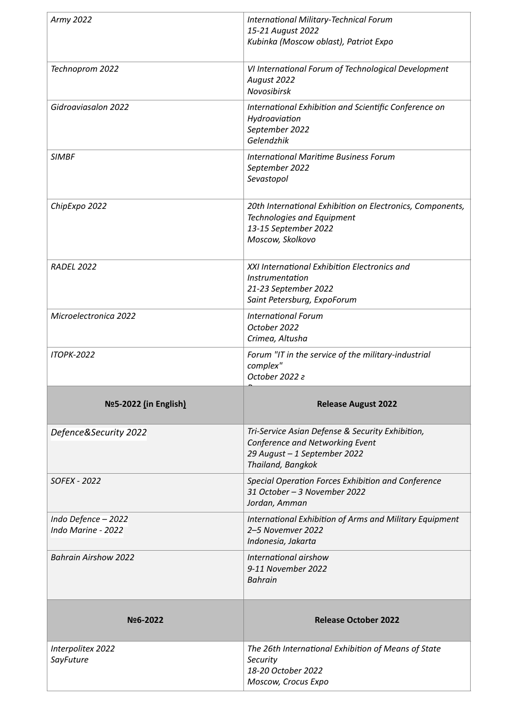| Army 2022                                 | International Military-Technical Forum<br>15-21 August 2022<br>Kubinka (Moscow oblast), Patriot Expo                                     |
|-------------------------------------------|------------------------------------------------------------------------------------------------------------------------------------------|
| Technoprom 2022                           | VI International Forum of Technological Development<br>August 2022<br>Novosibirsk                                                        |
| Gidroaviasalon 2022                       | International Exhibition and Scientific Conference on<br>Hydroaviation<br>September 2022<br>Gelendzhik                                   |
| <b>SIMBF</b>                              | International Maritime Business Forum<br>September 2022<br>Sevastopol                                                                    |
| ChipExpo 2022                             | 20th International Exhibition on Electronics, Components,<br>Technologies and Equipment<br>13-15 September 2022<br>Moscow, Skolkovo      |
| <b>RADEL 2022</b>                         | XXI International Exhibition Electronics and<br>Instrumentation<br>21-23 September 2022<br>Saint Petersburg, ExpoForum                   |
| Microelectronica 2022                     | <b>International Forum</b><br>October 2022<br>Crimea, Altusha                                                                            |
| <b>ITOPK-2022</b>                         | Forum "IT in the service of the military-industrial                                                                                      |
|                                           | complex"<br>October 2022 a                                                                                                               |
| Nº5-2022 (in English)                     | <b>Release August 2022</b>                                                                                                               |
| Defence&Security 2022                     | Tri-Service Asian Defense & Security Exhibition,<br>Conference and Networking Event<br>29 August - 1 September 2022<br>Thailand, Bangkok |
| <b>SOFEX - 2022</b>                       | Special Operation Forces Exhibition and Conference<br>31 October - 3 November 2022<br>Jordan, Amman                                      |
| Indo Defence - 2022<br>Indo Marine - 2022 | International Exhibition of Arms and Military Equipment<br>2-5 Novemver 2022<br>Indonesia, Jakarta                                       |
| <b>Bahrain Airshow 2022</b>               | International airshow<br>9-11 November 2022<br><b>Bahrain</b>                                                                            |
| Nº6-2022                                  | <b>Release October 2022</b>                                                                                                              |